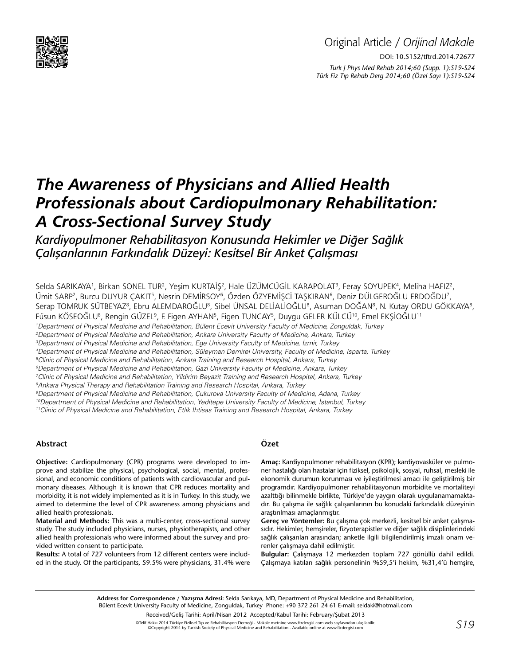

# Original Article / *Orijinal Makale* DOI: 10.5152/tftrd.2014.72677 *Turk J Phys Med Rehab 2014;60 (Supp. 1):S19-S24 Türk Fiz T›p Rehab Derg 2014;60 (Özel Sayı 1):S19-S24*

# *The Awareness of Physicians and Allied Health Professionals about Cardiopulmonary Rehabilitation: A Cross-Sectional Survey Study*

# *Kardiyopulmoner Rehabilitasyon Konusunda Hekimler ve Diğer Sağlık Çalışanlarının Farkındalık Düzeyi: Kesitsel Bir Anket Çalışması*

Selda SARIKAYA', Birkan SONEL TUR<sup>2</sup>, Yeşim KURTAİŞ<sup>2</sup>, Hale ÜZÜMCÜGİL KARAPOLAT<sup>3</sup>, Feray SOYUPEK<sup>4</sup>, Meliha HAFIZ<sup>2</sup>, Ümit SARP<sup>2</sup>, Burcu DUYUR ÇAKIT<sup>5</sup>, Nesrin DEMİRSOY<sup>6</sup>, Özden ÖZYEMİŞCİ TAŞKIRAN<sup>6</sup>, Deniz DÜLGEROĞLU ERDOĞDU<sup>7</sup>, Serap TOMRUK SÜTBEYAZ<sup>8</sup>, Ebru ALEMDAROĞLU<sup>8</sup>, Sibel ÜNSAL DELİALİOĞLU<sup>8</sup>, Asuman DOĞAN<sup>8</sup>, N. Kutay ORDU GÖKKAYA<sup>8</sup>, Füsun KÖSEOĞLU<sup>8</sup>, Rengin GÜZEL<sup>9</sup>, F. Figen AYHAN<sup>5</sup>, Figen TUNCAY<sup>5</sup>, Duygu GELER KÜLCÜ<sup>10</sup>, Emel EKŞİOĞLU<sup>11</sup> 1 Department of Physical Medicine and Rehabilitation, Bülent Ecevit University Faculty of Medicine, Zonguldak, Turkey 2 Department of Physical Medicine and Rehabilitation, Ankara University Faculty of Medicine, Ankara, Turkey 3 Department of Physical Medicine and Rehabilitation, Ege University Faculty of Medicine, İzmir, Turkey 4 Department of Physical Medicine and Rehabilitation, Süleyman Demirel University, Faculty of Medicine, Isparta, Turkey 5 Clinic of Physical Medicine and Rehabilitation, Ankara Training and Research Hospital, Ankara, Turkey 6 Department of Physical Medicine and Rehabilitation, Gazi University Faculty of Medicine, Ankara, Turkey 7 Clinic of Physical Medicine and Rehabilitation, Yildirim Beyazit Training and Research Hospital, Ankara, Turkey 8 Ankara Physical Therapy and Rehabilitation Training and Research Hospital, Ankara, Turkey 9 Department of Physical Medicine and Rehabilitation, Çukurova University Faculty of Medicine, Adana, Turkey <sup>10</sup>Department of Physical Medicine and Rehabilitation, Yeditepe University Faculty of Medicine, İstanbul, Turkey 11Clinic of Physical Medicine and Rehabilitation, Etlik İhtisas Training and Research Hospital, Ankara, Turkey

#### **Abstract**

**Objective:** Cardiopulmonary (CPR) programs were developed to improve and stabilize the physical, psychological, social, mental, professional, and economic conditions of patients with cardiovascular and pulmonary diseases. Although it is known that CPR reduces mortality and morbidity, it is not widely implemented as it is in Turkey. In this study, we aimed to determine the level of CPR awareness among physicians and allied health professionals.

**Material and Methods:** This was a multi-center, cross-sectional survey study. The study included physicians, nurses, physiotherapists, and other allied health professionals who were informed about the survey and provided written consent to participate.

**Results:** A total of 727 volunteers from 12 different centers were included in the study. Of the participants, 59.5% were physicians, 31.4% were

## **Özet**

**Amaç:** Kardiyopulmoner rehabilitasyon (KPR); kardiyovasküler ve pulmoner hastalığı olan hastalar için fiziksel, psikolojik, sosyal, ruhsal, mesleki ile ekonomik durumun korunması ve iyileştirilmesi amacı ile geliştirilmiş bir programdır. Kardiyopulmoner rehabilitasyonun morbidite ve mortaliteyi azalttığı bilinmekle birlikte, Türkiye'de yaygın olarak uygulanamamaktadır. Bu çalışma ile sağlık çalışanlarının bu konudaki farkındalık düzeyinin araştırılması amaçlanmıştır.

**Gereç ve Yöntemler:** Bu çalışma çok merkezli, kesitsel bir anket çalışmasıdır. Hekimler, hemşireler, fizyoterapistler ve diğer sağlık disiplinlerindeki sağlık çalışanları arasından; anketle ilgili bilgilendirilmiş imzalı onam verenler çalışmaya dahil edilmiştir.

**Bulgular:** Çalışmaya 12 merkezden toplam 727 gönüllü dahil edildi. Çalışmaya katılan sağlık personelinin %59,5'i hekim, %31,4'ü hemşire,

**Address for Correspondence / Yazışma Adresi:** Selda Sarıkaya, MD, Department of Physical Medicine and Rehabilitation, Bülent Ecevit University Faculty of Medicine, Zonguldak, Turkey Phone: +90 372 261 24 61 E-mail: seldaki@hotmail.com

Received/Geliş Tarihi: April/Nisan 2012 Accepted/Kabul Tarihi: February/Şubat 2013

©Telif Hakkı 2014 Türkiye Fiziksel Tıp ve Rehabilitasyon Derneği - Makale metnine www.ftrdergisi.com web sayfasından ulaşılabilir. ©Copyright 2014 by Turkish Society of Physical Medicine and Rehabilitation - Available online at www.ftrdergisi.com *S19*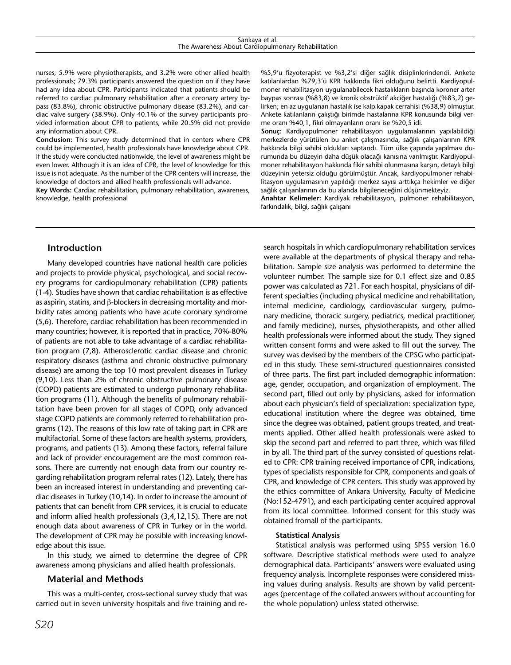nurses, 5.9% were physiotherapists, and 3.2% were other allied health professionals; 79.3% participants answered the question on if they have had any idea about CPR. Participants indicated that patients should be referred to cardiac pulmonary rehabilitation after a coronary artery bypass (83.8%), chronic obstructive pulmonary disease (83.2%), and cardiac valve surgery (38.9%). Only 40.1% of the survey participants provided information about CPR to patients, while 20.5% did not provide any information about CPR.

**Conclusion:** This survey study determined that in centers where CPR could be implemented, health professionals have knowledge about CPR. If the study were conducted nationwide, the level of awareness might be even lower. Although it is an idea of CPR, the level of knowledge for this issue is not adequate. As the number of the CPR centers will increase, the knowledge of doctors and allied health professionals will advance.

**Key Words:** Cardiac rehabilitation, pulmonary rehabilitation, awareness, knowledge, health professional

%5,9'u fizyoterapist ve %3,2'si diğer sağlık disiplinlerindendi. Ankete katılanlardan %79,3'ü KPR hakkında fikri olduğunu belirtti. Kardiyopulmoner rehabilitasyon uygulanabilecek hastalıkların başında koroner arter baypas sonrası (%83,8) ve kronik obstrüktif akciğer hastalığı (%83,2) gelirken; en az uygulanan hastalık ise kalp kapak cerrahisi (%38,9) olmuştur. Ankete katılanların çalıştığı birimde hastalarına KPR konusunda bilgi verme oranı %40,1, fikri olmayanların oranı ise %20,5 idi.

**Sonuç:** Kardiyopulmoner rehabilitasyon uygulamalarının yapılabildiği merkezlerde yürütülen bu anket çalışmasında, sağlık çalışanlarının KPR hakkında bilgi sahibi oldukları saptandı. Tüm ülke çapında yapılması durumunda bu düzeyin daha düşük olacağı kanısına varılmıştır. Kardiyopulmoner rehabilitasyon hakkında fikir sahibi olunmasına karşın, detaylı bilgi düzeyinin yetersiz olduğu görülmüştür. Ancak, kardiyopulmoner rehabilitasyon uygulamasının yapıldığı merkez sayısı arttıkça hekimler ve diğer sağlık çalışanlarının da bu alanda bilgileneceğini düşünmekteyiz.

**Anahtar Kelimeler:** Kardiyak rehabilitasyon, pulmoner rehabilitasyon, farkındalık, bilgi, sağlık çalışanı

## **Introduction**

Many developed countries have national health care policies and projects to provide physical, psychological, and social recovery programs for cardiopulmonary rehabilitation (CPR) patients (1-4). Studies have shown that cardiac rehabilitation is as effective as aspirin, statins, and β-blockers in decreasing mortality and morbidity rates among patients who have acute coronary syndrome (5,6). Therefore, cardiac rehabilitation has been recommended in many countries; however, it is reported that in practice, 70%-80% of patients are not able to take advantage of a cardiac rehabilitation program (7,8). Atherosclerotic cardiac disease and chronic respiratory diseases (asthma and chronic obstructive pulmonary disease) are among the top 10 most prevalent diseases in Turkey (9,10). Less than 2% of chronic obstructive pulmonary disease (COPD) patients are estimated to undergo pulmonary rehabilitation programs (11). Although the benefits of pulmonary rehabilitation have been proven for all stages of COPD, only advanced stage COPD patients are commonly referred to rehabilitation programs (12). The reasons of this low rate of taking part in CPR are multifactorial. Some of these factors are health systems, providers, programs, and patients (13). Among these factors, referral failure and lack of provider encouragement are the most common reasons. There are currently not enough data from our country regarding rehabilitation program referral rates (12). Lately, there has been an increased interest in understanding and preventing cardiac diseases in Turkey (10,14). In order to increase the amount of patients that can benefit from CPR services, it is crucial to educate and inform allied health professionals (3,4,12,15). There are not enough data about awareness of CPR in Turkey or in the world. The development of CPR may be possible with increasing knowledge about this issue.

In this study, we aimed to determine the degree of CPR awareness among physicians and allied health professionals.

#### **Material and Methods**

This was a multi-center, cross-sectional survey study that was carried out in seven university hospitals and five training and re-

search hospitals in which cardiopulmonary rehabilitation services were available at the departments of physical therapy and rehabilitation. Sample size analysis was performed to determine the volunteer number. The sample size for 0.1 effect size and 0.85 power was calculated as 721. For each hospital, physicians of different specialties (including physical medicine and rehabilitation, internal medicine, cardiology, cardiovascular surgery, pulmonary medicine, thoracic surgery, pediatrics, medical practitioner, and family medicine), nurses, physiotherapists, and other allied health professionals were informed about the study. They signed written consent forms and were asked to fill out the survey. The survey was devised by the members of the CPSG who participated in this study. These semi-structured questionnaires consisted of three parts. The first part included demographic information: age, gender, occupation, and organization of employment. The second part, filled out only by physicians, asked for information about each physician's field of specialization: specialization type, educational institution where the degree was obtained, time since the degree was obtained, patient groups treated, and treatments applied. Other allied health professionals were asked to skip the second part and referred to part three, which was filled in by all. The third part of the survey consisted of questions related to CPR: CPR training received importance of CPR, indications, types of specialists responsible for CPR, components and goals of CPR, and knowledge of CPR centers. This study was approved by the ethics committee of Ankara University, Faculty of Medicine (No:152-4791), and each participating center acquired approval from its local committee. Informed consent for this study was obtained fromall of the participants.

#### **Statistical Analysis**

Statistical analysis was performed using SPSS version 16.0 software. Descriptive statistical methods were used to analyze demographical data. Participants' answers were evaluated using frequency analysis. Incomplete responses were considered missing values during analysis. Results are shown by valid percentages (percentage of the collated answers without accounting for the whole population) unless stated otherwise.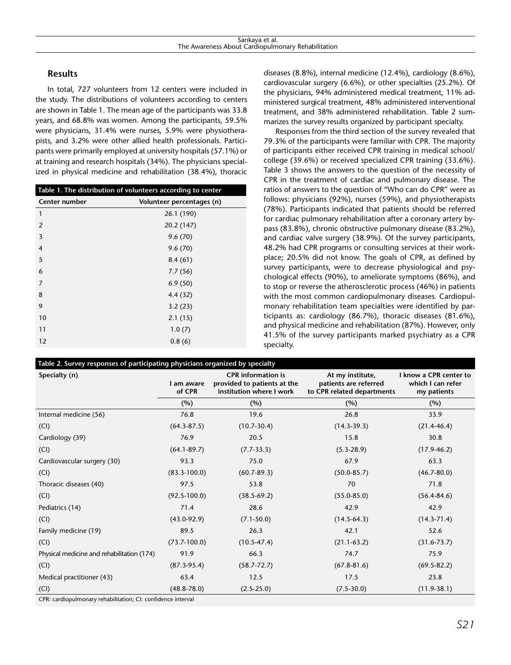# **Results**

In total, 727 volunteers from 12 centers were included in the study. The distributions of volunteers according to centers are shown in Table 1. The mean age of the participants was 33.8 years, and 68.8% was women. Among the participants, 59.5% were physicians, 31.4% were nurses, 5.9% were physiotherapists, and 3.2% were other allied health professionals. Participants were primarily employed at university hospitals (57.1%) or at training and research hospitals (34%). The physicians specialized in physical medicine and rehabilitation (38.4%), thoracic

| Table 1. The distribution of volunteers according to center |                           |  |  |  |
|-------------------------------------------------------------|---------------------------|--|--|--|
| Center number                                               | Volunteer percentages (n) |  |  |  |
| 1                                                           | 26.1 (190)                |  |  |  |
| $\overline{2}$                                              | 20.2 (147)                |  |  |  |
| 3                                                           | 9.6(70)                   |  |  |  |
| $\overline{4}$                                              | 9.6(70)                   |  |  |  |
| 5                                                           | 8.4(61)                   |  |  |  |
| 6                                                           | 7.7(56)                   |  |  |  |
| 7                                                           | 6.9(50)                   |  |  |  |
| 8                                                           | 4.4(32)                   |  |  |  |
| 9                                                           | 3.2(23)                   |  |  |  |
| 10                                                          | 2.1(15)                   |  |  |  |
| 11                                                          | 1.0(7)                    |  |  |  |
| 12                                                          | 0.8(6)                    |  |  |  |

diseases (8.8%), internal medicine (12.4%), cardiology (8.6%), cardiovascular surgery (6.6%), or other specialties (25.2%). Of the physicians, 94% administered medical treatment, 11% administered surgical treatment, 48% administered interventional treatment, and 38% administered rehabilitation. Table 2 summarizes the survey results organized by participant specialty.

Responses from the third section of the survey revealed that 79.3% of the participants were familiar with CPR. The majority of participants either received CPR training in medical school/ college (39.6%) or received specialized CPR training (33.6%). Table 3 shows the answers to the question of the necessity of CPR in the treatment of cardiac and pulmonary disease. The ratios of answers to the question of "Who can do CPR" were as follows: physicians (92%), nurses (59%), and physiotherapists (78%). Participants indicated that patients should be referred for cardiac pulmonary rehabilitation after a coronary artery bypass (83.8%), chronic obstructive pulmonary disease (83.2%), and cardiac valve surgery (38.9%). Of the survey participants, 48.2% had CPR programs or consulting services at their workplace; 20.5% did not know. The goals of CPR, as defined by survey participants, were to decrease physiological and psychological effects (90%), to ameliorate symptoms (86%), and to stop or reverse the atherosclerotic process (46%) in patients with the most common cardiopulmonary diseases. Cardiopulmonary rehabilitation team specialties were identified by participants as: cardiology (86.7%), thoracic diseases (81.6%), and physical medicine and rehabilitation (87%). However, only 41.5% of the survey participants marked psychiatry as a CPR specialty.

| Specialty (n)                              | I am aware<br>of CPR | <b>CPR</b> information is<br>provided to patients at the<br>institution where I work | At my institute,<br>patients are referred<br>to CPR related departments | I know a CPR center to<br>which I can refer<br>my patients |
|--------------------------------------------|----------------------|--------------------------------------------------------------------------------------|-------------------------------------------------------------------------|------------------------------------------------------------|
|                                            | (%)                  | (%)                                                                                  | (%)                                                                     | (%)                                                        |
| Internal medicine (56)                     | 76.8                 | 19.6                                                                                 | 26.8                                                                    | 33.9                                                       |
| (Cl)                                       | $(64.3 - 87.5)$      | $(10.7 - 30.4)$                                                                      | $(14.3 - 39.3)$                                                         | $(21.4 - 46.4)$                                            |
| Cardiology (39)                            | 76.9                 | 20.5                                                                                 | 15.8                                                                    | 30.8                                                       |
| (Cl)                                       | $(64.1 - 89.7)$      | $(7.7-33.3)$                                                                         | $(5.3 - 28.9)$                                                          | $(17.9 - 46.2)$                                            |
| Cardiovascular surgery (30)                | 93.3                 | 75.0                                                                                 | 67.9                                                                    | 63.3                                                       |
| (Cl)                                       | $(83.3 - 100.0)$     | $(60.7 - 89.3)$                                                                      | $(50.0 - 85.7)$                                                         | $(46.7 - 80.0)$                                            |
| Thoracic diseases (40)                     | 97.5                 | 53.8                                                                                 | 70                                                                      | 71.8                                                       |
| (Cl)                                       | $(92.5 - 100.0)$     | $(38.5 - 69.2)$                                                                      | $(55.0 - 85.0)$                                                         | $(56.4 - 84.6)$                                            |
| Pediatrics (14)                            | 71.4                 | 28.6                                                                                 | 42.9                                                                    | 42.9                                                       |
| (Cl)                                       | $(43.0 - 92.9)$      | $(7.1 - 50.0)$                                                                       | $(14.5 - 64.3)$                                                         | $(14.3 - 71.4)$                                            |
| Family medicine (19)                       | 89.5                 | 26.3                                                                                 | 42.1                                                                    | 52.6                                                       |
| (Cl)                                       | $(73.7 - 100.0)$     | $(10.5 - 47.4)$                                                                      | $(21.1 - 63.2)$                                                         | $(31.6 - 73.7)$                                            |
| Physical medicine and rehabilitation (174) | 91.9                 | 66.3                                                                                 | 74.7                                                                    | 75.9                                                       |
| (Cl)                                       | $(87.3-95.4)$        | $(58.7 - 72.7)$                                                                      | $(67.8 - 81.6)$                                                         | $(69.5 - 82.2)$                                            |
| Medical practitioner (43)                  | 63.4                 | 12.5                                                                                 | 17.5                                                                    | 23.8                                                       |
| (Cl)                                       | $(48.8 - 78.0)$      | $(2.5 - 25.0)$                                                                       | $(7.5 - 30.0)$                                                          | $(11.9 - 38.1)$                                            |

CPR: cardiopulmonary rehabilitation; CI: confidence interval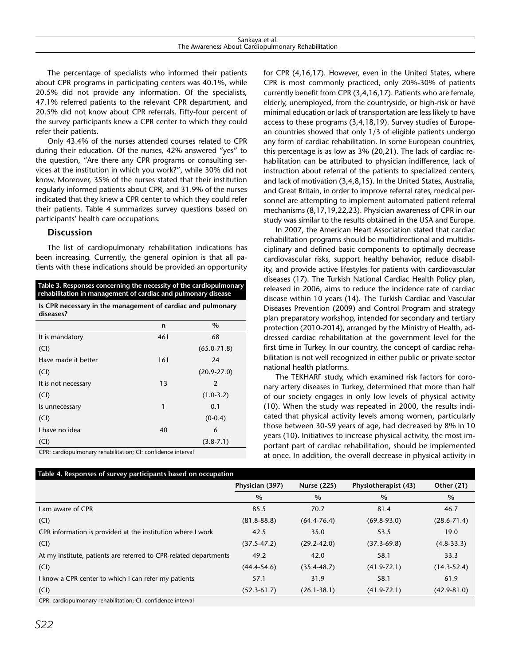The percentage of specialists who informed their patients about CPR programs in participating centers was 40.1%, while 20.5% did not provide any information. Of the specialists, 47.1% referred patients to the relevant CPR department, and 20.5% did not know about CPR referrals. Fifty-four percent of the survey participants knew a CPR center to which they could refer their patients.

Only 43.4% of the nurses attended courses related to CPR during their education. Of the nurses, 42% answered "yes" to the question, "Are there any CPR programs or consulting services at the institution in which you work?", while 30% did not know. Moreover, 35% of the nurses stated that their institution regularly informed patients about CPR, and 31.9% of the nurses indicated that they knew a CPR center to which they could refer their patients. Table 4 summarizes survey questions based on participants' health care occupations.

#### **Discussion**

The list of cardiopulmonary rehabilitation indications has been increasing. Currently, the general opinion is that all patients with these indications should be provided an opportunity

| Table 3. Responses concerning the necessity of the cardiopulmonary<br>rehabilitation in management of cardiac and pulmonary disease<br>Is CPR necessary in the management of cardiac and pulmonary<br>diseases? |     |                 |  |  |  |
|-----------------------------------------------------------------------------------------------------------------------------------------------------------------------------------------------------------------|-----|-----------------|--|--|--|
|                                                                                                                                                                                                                 |     |                 |  |  |  |
| It is mandatory                                                                                                                                                                                                 | 461 | 68              |  |  |  |
| (CI)                                                                                                                                                                                                            |     | $(65.0 - 71.8)$ |  |  |  |
| Have made it better                                                                                                                                                                                             | 161 | 24              |  |  |  |
| (CI)                                                                                                                                                                                                            |     | $(20.9 - 27.0)$ |  |  |  |
| It is not necessary                                                                                                                                                                                             | 13  | 2               |  |  |  |
| (CI)                                                                                                                                                                                                            |     | $(1.0-3.2)$     |  |  |  |
| Is unnecessary                                                                                                                                                                                                  | 1   | 0.1             |  |  |  |
| (CI)                                                                                                                                                                                                            |     | $(0-0.4)$       |  |  |  |
| I have no idea                                                                                                                                                                                                  | 40  | 6               |  |  |  |
| (Cl)                                                                                                                                                                                                            |     | $(3.8 - 7.1)$   |  |  |  |
| $CPR:$ cardionulmonary rebabilitation: $C_1:$ confidence interval                                                                                                                                               |     |                 |  |  |  |

CPR: cardiopulmonary rehabilitation; CI: confidence interval

for CPR (4,16,17). However, even in the United States, where CPR is most commonly practiced, only 20%-30% of patients currently benefit from CPR (3,4,16,17). Patients who are female, elderly, unemployed, from the countryside, or high-risk or have minimal education or lack of transportation are less likely to have access to these programs (3,4,18,19). Survey studies of European countries showed that only 1/3 of eligible patients undergo any form of cardiac rehabilitation. In some European countries, this percentage is as low as 3% (20,21). The lack of cardiac rehabilitation can be attributed to physician indifference, lack of instruction about referral of the patients to specialized centers, and lack of motivation (3,4,8,15). In the United States, Australia, and Great Britain, in order to improve referral rates, medical personnel are attempting to implement automated patient referral mechanisms (8,17,19,22,23). Physician awareness of CPR in our study was similar to the results obtained in the USA and Europe.

In 2007, the American Heart Association stated that cardiac rehabilitation programs should be multidirectional and multidisciplinary and defined basic components to optimally decrease cardiovascular risks, support healthy behavior, reduce disability, and provide active lifestyles for patients with cardiovascular diseases (17). The Turkish National Cardiac Health Policy plan, released in 2006, aims to reduce the incidence rate of cardiac disease within 10 years (14). The Turkish Cardiac and Vascular Diseases Prevention (2009) and Control Program and strategy plan preparatory workshop, intended for secondary and tertiary protection (2010-2014), arranged by the Ministry of Health, addressed cardiac rehabilitation at the government level for the first time in Turkey. In our country, the concept of cardiac rehabilitation is not well recognized in either public or private sector national health platforms.

The TEKHARF study, which examined risk factors for coronary artery diseases in Turkey, determined that more than half of our society engages in only low levels of physical activity (10). When the study was repeated in 2000, the results indicated that physical activity levels among women, particularly those between 30-59 years of age, had decreased by 8% in 10 years (10). Initiatives to increase physical activity, the most important part of cardiac rehabilitation, should be implemented at once. In addition, the overall decrease in physical activity in

| Table 4. Responses of survey participants based on occupation     |                 |                    |                      |                   |  |  |  |
|-------------------------------------------------------------------|-----------------|--------------------|----------------------|-------------------|--|--|--|
|                                                                   | Physician (397) | <b>Nurse (225)</b> | Physiotherapist (43) | <b>Other (21)</b> |  |  |  |
|                                                                   | $\%$            | $\%$               | $\%$                 | $\%$              |  |  |  |
| I am aware of CPR                                                 | 85.5            | 70.7               | 81.4                 | 46.7              |  |  |  |
| (Cl)                                                              | $(81.8 - 88.8)$ | $(64.4 - 76.4)$    | $(69.8-93.0)$        | $(28.6 - 71.4)$   |  |  |  |
| CPR information is provided at the institution where I work       | 42.5            | 35.0               | 53.5                 | 19.0              |  |  |  |
| (Cl)                                                              | $(37.5 - 47.2)$ | $(29.2 - 42.0)$    | $(37.3 - 69.8)$      | $(4.8-33.3)$      |  |  |  |
| At my institute, patients are referred to CPR-related departments | 49.2            | 42.0               | 58.1                 | 33.3              |  |  |  |
| (Cl)                                                              | $(44.4 - 54.6)$ | $(35.4 - 48.7)$    | $(41.9 - 72.1)$      | $(14.3 - 52.4)$   |  |  |  |
| I know a CPR center to which I can refer my patients              | 57.1            | 31.9               | 58.1                 | 61.9              |  |  |  |
| (Cl)                                                              | $(52.3-61.7)$   | $(26.1 - 38.1)$    | $(41.9 - 72.1)$      | $(42.9 - 81.0)$   |  |  |  |
| CDD, cardionulmonary repabilitation, CL confidence interval       |                 |                    |                      |                   |  |  |  |

CPR: cardiopulmonary rehabilitation; CI: confidence interval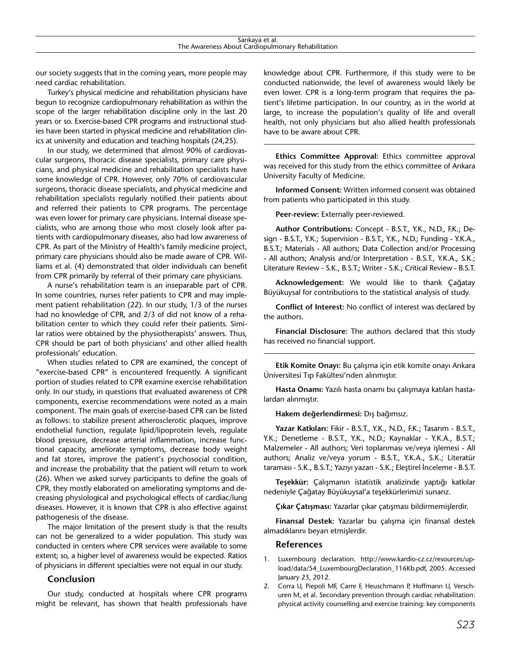our society suggests that in the coming years, more people may need cardiac rehabilitation.

Turkey's physical medicine and rehabilitation physicians have begun to recognize cardiopulmonary rehabilitation as within the scope of the larger rehabilitation discipline only in the last 20 years or so. Exercise-based CPR programs and instructional studies have been started in physical medicine and rehabilitation clinics at university and education and teaching hospitals (24,25).

In our study, we determined that almost 90% of cardiovascular surgeons, thoracic disease specialists, primary care physicians, and physical medicine and rehabilitation specialists have some knowledge of CPR. However, only 70% of cardiovascular surgeons, thoracic disease specialists, and physical medicine and rehabilitation specialists regularly notified their patients about and referred their patients to CPR programs. The percentage was even lower for primary care physicians. Internal disease specialists, who are among those who most closely look after patients with cardiopulmonary diseases, also had low awareness of CPR. As part of the Ministry of Health's family medicine project, primary care physicians should also be made aware of CPR. Williams et al. (4) demonstrated that older individuals can benefit from CPR primarily by referral of their primary care physicians.

A nurse's rehabilitation team is an inseparable part of CPR. In some countries, nurses refer patients to CPR and may implement patient rehabilitation (22). In our study, 1/3 of the nurses had no knowledge of CPR, and 2/3 of did not know of a rehabilitation center to which they could refer their patients. Similar ratios were obtained by the physiotherapists' answers. Thus, CPR should be part of both physicians' and other allied health professionals' education.

When studies related to CPR are examined, the concept of "exercise-based CPR" is encountered frequently. A significant portion of studies related to CPR examine exercise rehabilitation only. In our study, in questions that evaluated awareness of CPR components, exercise recommendations were noted as a main component. The main goals of exercise-based CPR can be listed as follows: to stabilize present atherosclerotic plaques, improve endothelial function, regulate lipid/lipoprotein levels, regulate blood pressure, decrease arterial inflammation, increase functional capacity, ameliorate symptoms, decrease body weight and fat stores, improve the patient's psychosocial condition, and increase the probability that the patient will return to work (26). When we asked survey participants to define the goals of CPR, they mostly elaborated on ameliorating symptoms and decreasing physiological and psychological effects of cardiac/lung diseases. However, it is known that CPR is also effective against pathogenesis of the disease.

The major limitation of the present study is that the results can not be generalized to a wider population. This study was conducted in centers where CPR services were available to some extent; so, a higher level of awareness would be expected. Ratios of physicians in different specialties were not equal in our study.

#### **Conclusion**

Our study, conducted at hospitals where CPR programs might be relevant, has shown that health professionals have

knowledge about CPR. Furthermore, if this study were to be conducted nationwide, the level of awareness would likely be even lower. CPR is a long-term program that requires the patient's lifetime participation. In our country, as in the world at large, to increase the population's quality of life and overall health, not only physicians but also allied health professionals have to be aware about CPR.

**Ethics Committee Approval:** Ethics committee approval was received for this study from the ethics committee of Ankara University Faculty of Medicine.

**Informed Consent:** Written informed consent was obtained from patients who participated in this study.

**Peer-review:** Externally peer-reviewed.

**Author Contributions:** Concept - B.S.T., Y.K., N.D., F.K.; Design - B.S.T., Y.K.; Supervision - B.S.T., Y.K., N.D.; Funding - Y.K.A., B.S.T.; Materials - All authors; Data Collection and/or Processing - All authors; Analysis and/or Interpretation - B.S.T., Y.K.A., S.K.; Literature Review - S.K., B.S.T.; Writer - S.K.; Critical Review - B.S.T.

**Acknowledgement:** We would like to thank Çağatay Büyükuysal for contributions to the statistical analysis of study.

**Conflict of Interest:** No conflict of interest was declared by the authors.

**Financial Disclosure:** The authors declared that this study has received no financial support.

**Etik Komite Onayı:** Bu çalışma için etik komite onayı Ankara Üniversitesi Tıp Fakültesi'nden alınmıştır.

**Hasta Onamı:** Yazılı hasta onamı bu çalışmaya katılan hastalardan alınmıştır.

**Hakem değerlendirmesi:** Dış bağımsız.

**Yazar Katkıları:** Fikir - B.S.T., Y.K., N.D., F.K.; Tasarım - B.S.T., Y.K.; Denetleme - B.S.T., Y.K., N.D.; Kaynaklar - Y.K.A., B.S.T.; Malzemeler - All authors; Veri toplanması ve/veya işlemesi - All authors; Analiz ve/veya yorum - B.S.T., Y.K.A., S.K.; Literatür taraması - S.K., B.S.T.; Yazıyı yazan - S.K.; Eleştirel İnceleme - B.S.T.

**Teşekkür:** Çalışmanın istatistik analizinde yaptığı katkılar nedeniyle Çağatay Büyükuysal'a teşekkürlerimizi sunarız.

**Çıkar Çatışması:** Yazarlar çıkar çatışması bildirmemişlerdir.

**Finansal Destek:** Yazarlar bu çalışma için finansal destek almadıklarını beyan etmişlerdir.

#### **References**

- 1. Luxembourg declaration. http://www.kardio-cz.cz/resources/upload/data/54\_LuxembourgDeclaration\_116Kb.pdf, 2005. Accessed January 23, 2012.
- 2. Corra U, Piepoli MF, Carre F, Heuschmann P, Hoffmann U, Verschuren M, et al. Secondary prevention through cardiac rehabilitation: physical activity counselling and exercise training: key components